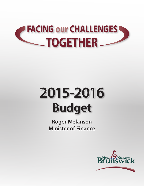# **FACING our CHALLENGES TOGETHER**

# **Budget 2015-2016**

**Roger Melanson Minister of Finance**

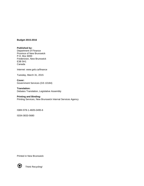#### **Budget 2015-2016**

**Published by:** Department of Finance Province of New Brunswick P.O. Box 6000 Fredericton, New Brunswick E3B 5H1 Canada

Internet: www.gnb.ca/finance

Tuesday, March 31, 2015

**Cover:** Government Services (GS 10184)

**Translation:** Debates Translation, Legislative Assembly

#### **Printing and Binding:**

Printing Services, New Brunswick Internal Services Agency

ISBN 978-1-4605-0495-6

ISSN 0833-5680

Printed in New Brunswick



Think Recycling!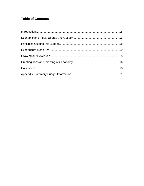# **Table of Contents**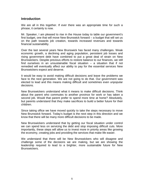# <span id="page-4-0"></span>**Introduction**

We are all in this together. If ever there was an appropriate time for such a phrase, it certainly is now.

Mr. Speaker, I am pleased to rise in the House today to table our government's first budget, one that will move New Brunswick forward – a budget that will set us on the path towards job creation, towards increased revenues and towards financial sustainability.

Over the last several years New Brunswick has faced many challenges. Weak economic growth, a declining and aging population, persistent job losses and rising government debt have combined to put a great deal of strain on New Brunswickers. Despite previous efforts to restore balance to our finances, we still find ourselves in an unsustainable fiscal situation – a situation that if not remedied will eventually affect our ability to pay for the essential services New Brunswickers expect and deserve.

It would be easy to avoid making difficult decisions and leave the problems we face to the next generation. We are not going to do that. Our government was elected to lead and this means making difficult and sometimes even unpopular decisions.

New Brunswickers understand what it means to make difficult decisions. Think about the parent who commutes to another province for work or has taken a second job. Would that parent prefer to spend more time at home? Absolutely, but parents understand that they make sacrifices to build a better future for their children.

Since taking office we have moved quickly to take the steps necessary to move New Brunswick forward. Today's budget is the next step in this direction and we know that there will be many more difficult decisions to be made.

New Brunswickers understand that by getting our fiscal situation under control we can spend less on servicing the debt and stop imposing difficult cuts. More importantly, these steps will allow us to invest more in priority areas like growing the economy, creating jobs and providing the services that make life easier.

We understand that there will be New Brunswickers who will disagree and challenge some of the decisions we are making, but we are showing the leadership required to lead to a brighter, more sustainable future for New Brunswickers.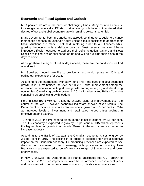# <span id="page-5-0"></span>**Economic and Fiscal Update and Outlook**

Mr. Speaker, we are in the midst of challenging times. Many countries continue to struggle economically. Efforts to stimulate growth have not achieved their desired effect and global economic growth remains below its potential.

Many governments, both in Canada and abroad, continue to struggle to balance their books and face an uncertain future unless difficult decisions to address their fiscal situations are made. That said, restoring order to our finances while growing the economy is a delicate balance. Most recently, we saw Alberta introduce difficult measures to address their deficit situation. Ontario and Nova Scotia are facing similar challenges as us and will be outlining their plans in the days to come.

Although there are signs of better days ahead, these are the conditions we find ourselves in.

Mr. Speaker, I would now like to provide an economic update for 2014 and outline our expectations for 2015.

According to the International Monetary Fund (IMF), the pace of global economic growth in 2014 maintained the level set in 2013, with improvement among the advanced economies offsetting slower growth among emerging and developing economies. Canadian growth improved in 2014 with Alberta and British Columbia continuing as provincial growth leaders.

Here in New Brunswick our economy showed signs of improvement over the course of the year. However, economic indicators showed mixed results. The Department of Finance estimates real economic growth of 0.8 per cent in 2014 as improved levels of investment and retail sales helped offset declines in employment and exports.

Turning to 2015, the IMF reports global output is set to expand by 3.8 per cent. The U.S. economy is expected to grow by 3.1 per cent in 2015, which represents the highest level of growth in a decade. Growth in the euro area is expected to increase modestly.

According to the Bank of Canada, the Canadian economy is set to grow by 2.1 per cent in 2015. The decline in oil prices is expected to have a negative impact on the Canadian economy. Oil-producing provinces are expected to see declines in investment, while non-energy rich provinces – including New Brunswick – are expected to benefit from a stronger U.S. economy and lower energy costs.

In New Brunswick, the Department of Finance anticipates real GDP growth of 1.8 per cent in 2015, an improvement over the performance seen in recent years and consistent with the current consensus among private sector forecasters.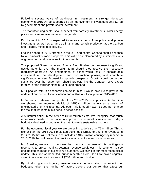Following several years of weakness in investment, a stronger domestic economy in 2015 will be supported by an improvement in investment activity, led by government and private sector investment.

The manufacturing sector should benefit from forestry investments, lower energy prices and a more favourable exchange rate.

Employment in 2015 is expected to receive a boost from public and private investment, as well as a ramp-up in zinc and potash production at the Caribou and Picadilly mines respectively.

Looking ahead to 2016, strength in the U.S. and central Canada should enhance New Brunswick's trade prospects. This will be supplemented by sustained levels of government and private sector investments.

The proposed Sisson mine and Energy East Pipeline both represent significant upside potential over the medium-term should they receive the necessary regulatory approvals. An endorsement of either would result in considerable investment at the development and construction phases, and contribute significantly to New Brunswick's growth prospects. Growth could be further sustained over the longer-term should projects like the Canaport LNG export terminal or the fertilizer plant in Saint John proceed.

Mr. Speaker, with this economic context in mind, I would now like to provide an update of our current fiscal situation and outline our fiscal plan for 2015-2016.

In February, I released an update of our 2014-2015 fiscal position. At that time we showed an improved deficit of \$255.4 million, largely as a result of unexpected one-time revenue. Although this is good news, it does not change the fact that we remain in a serious deficit position.

A structural deficit in the order of \$400 million exists. We recognize that much more work needs to be done to improve our financial situation and today's budget is designed to put us on the path towards sustainable budgets.

For the upcoming fiscal year we are projecting a deficit of \$476.8 million. This is higher than the 2014-2015 projected deficit due largely to one-time revenues in 2014-2015 that will not recur, and includes a \$150 million contingency reserve in 2015-2016 that will protect the province against unforeseen circumstances.

Mr. Speaker, we want to be clear that the main purpose of this contingency reserve is to protect against potential revenue weakness. It is common to see unexpected changes in our revenue numbers. We saw it in our most recent fiscal update. This time we benefited, but as recently as 2013-2014 we saw a negative swing in our revenue in excess of \$200 million from budget.

By introducing a contingency reserve, we are demonstrating prudence in our budgeting given the number of factors beyond our control that affect our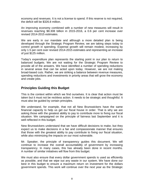economy and revenues. It is not a license to spend. If this reserve is not required, the deficit will be \$326.8 million.

An improving economy combined with a number of new measures will result in revenues reaching \$8.308 billion in 2015-2016, a 0.6 per cent increase over revised 2014-2015 estimates.

We are early in our mandate and although a more detailed plan is being developed through the Strategic Program Review, we are taking steps today to control growth in spending. Expense growth will remain modest, increasing by only 1.5 per cent over revised 2014-2015 estimates and representing an increase of just \$125 million.

Today's expenditure plan represents the starting point in our plan to return to balanced budgets. We are not waiting for the Strategic Program Review to provide all of the answers. We have identified a number of spending reductions in several areas that can be acted upon today. However, we are not making broad-based cuts. Rather, we are striking a balance between revenue measures, spending reductions and investments in priority areas that will grow the economy and create jobs.

# <span id="page-7-0"></span>**Principles Guiding this Budget**

This is the context within which we find ourselves. It is clear that action must be taken but it must not be reckless action. It needs to be strategic and thoughtful. It must also be guided by certain principles.

We understand, for example, that not all New Brunswickers have the same financial capacity to help us get our fiscal house in order. That is why we are asking those with the greatest ability to pay to contribute more to fixing our fiscal situation. We campaigned on the principle of fairness last September and it is well reflected in this budget.

New Brunswickers understand that we have difficult decisions to make, but they expect us to make decisions in a fair and compassionate manner that ensures that those with the greatest ability to pay contribute to fixing our fiscal situation, while also minimizing the impacts on our most vulnerable.

Mr. Speaker, the principle of transparency guides this document. We will continue to increase the overall accountability of government by increasing transparency. In many cases, this has already been done in recent months. A number of similar initiatives will flow from this budget.

We must also ensure that every dollar government spends is used as efficiently as possible, and that we wipe out any waste in our system. We have done our best in this budget to ensure a maximum return on investment for the dollars government spends. This work will continue over the next year as the Strategic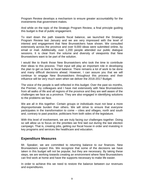Program Review develops a mechanism to ensure greater accountability for the investments that government makes.

And while on the topic of the Strategic Program Review, a final principle guiding this budget is that of public engagement.

To start down the path towards fiscal balance, we launched the Strategic Program Review last January and we are very impressed with the level of interest and engagement that New Brunswickers have shown. We consulted extensively across the province and over 9,000 ideas were submitted online, by email or mail. Additionally, over 1,200 people attended our public dialogue sessions. It is clear from the volume and diversity of viewpoints that New Brunswickers want to be part of the solution.

I would like to thank those New Brunswickers who took the time to contribute their ideas to this process. Their input will play an important role in developing the plan to get us back to fiscal balance. There remains a lot of work to be done and many difficult decisions ahead. However, I can assure you that we will continue to engage New Brunswickers throughout this process and their influence will be very much seen when we deliver the 2016-2017 Budget.

The voice of the people is well reflected in this budget. Over the past six months, the Premier, my colleagues and I have met extensively with New Brunswickers from all walks of life and all regions of the province and they are well aware of the challenges we face as a province. They are also engaged in identifying solutions to the problems we face.

We are all in this together. Certain groups or individuals must not bear a more disproportionate burden than others. We will strive to ensure that everyone participates in the transformation to come – cities and villages, north and south and, contrary to past practice, politicians from both sides of the legislature.

With this level of involvement, we are truly facing our challenges together. Doing so will allow us to focus on the priorities we first laid out during the last election campaign. That is, creating jobs, getting our fiscal house in order and investing in key programs and services like healthcare and education.

# <span id="page-8-0"></span>**Expenditure Measures**

Mr. Speaker, we are committed to returning balance to our finances. New Brunswickers expect this. We recognize that some of the decisions we have taken in this budget will not be popular, but they are necessary. By taking these steps, we are working towards creating an environment where New Brunswickers can find work at home and have the supports necessary to make life easier.

In order to achieve this we need to restore the balance between our revenues and expenditures.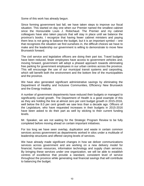Some of this work has already begun.

Since forming government last fall, we have taken steps to improve our fiscal situation. This started on day one when our Premier named the smallest cabinet since the Honourable Louis J. Robichaud. The Premier and my cabinet colleagues have also taken paycuts that will stay in place until we balance the province's books. I recognize that having fewer cabinet ministers and paying them less is not going to balance the budget, but it is an important symbol – one that recognizes the situation we find ourselves in, the difficult choices we have to make and the leadership our government is willing to demonstrate to move New Brunswick forward.

The civil service and legislative officers are doing their part too. Travel budgets have been reduced, fewer employees have access to government vehicles and, moving forward, government will adopt a phased approach towards eliminating free parking for government employees in our urban centres across the province. This will encourage the use of our municipal transit systems and carpooling, which will benefit both the environment and the bottom line of the municipalities and the province.

We have also generated significant administrative savings by eliminating the Department of Healthy and Inclusive Communities, Efficiency New Brunswick and the Energy Institute.

A number of government departments have reduced their budgets or managed to significantly curtail growth. The Department of Health is a good example of this as they are holding the line at almost zero per cent budget growth in 2015-2016, well below the 8.0 per cent growth we saw less than a decade ago. Officers of the Legislature, who have requested increases in their budgets in 2015-2016 have been asked to do their part as well by sticking to their current funding levels.

Mr. Speaker, we are not waiting for the Strategic Program Review to be fully completed before moving ahead on certain important initiatives.

For too long we have seen overlap, duplication and waste in certain common services across government as departments worked in silos under a multitude of leadership structures and offered varying levels of services.

We have already made significant changes in how we deliver communications services across government and are working on a new delivery model for financial, human resources, information technology and supply chain services. By bringing these services under one organization, we will be able to establish centres of excellence that provide a standard, consistent level of service throughout the province while generating real financial savings that will contribute to balancing the budget.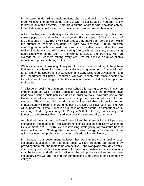Mr. Speaker, undertaking transformational change and getting our fiscal house in order will take time but we cannot afford to wait for our Strategic Program Review to provide all of the answers. There are a number of areas where savings can be found today and it makes sense to move forward sooner rather than later.

A key challenge of our demographic shift is that we are seeing growth in our seniors population and declines in our youth. Since the year 2000, the number of K-12 students in New Brunswick has dropped by more than 20 per cent, while the number of teachers has gone up. With now less than 100,000 children attending our schools, we need to ensure that our staffing levels reflect this new reality. This is why we will be eliminating 249 teaching positions, representing approximately three per cent of the workforce across the province. With an average of 200 teachers retiring every year, we will achieve as much of this reduction as possible through attrition.

We are committed to working closely with those who are not retiring to help them find work elsewhere, including potentially within government. A special task force, led by the Department of Education and Early Childhood Development and the Department of Human Resources, will work closely with those affected to transition and those trying to enter the education system in helping them plan for their career.

The issue of declining enrolment in our schools is having a serious impact on infrastructure as well. District Education Councils across the province have undertaken school sustainability studies in order to make maximum use of our limited financial resources while also improving the quality of education for our students. They know, like we do, that finding available efficiencies in our infrastructure will result in more funds being available for classroom learning. We will support the District Education Councils as they pursue this important work, including introducing a change to Policy 409 that will bring consistency and fairness to the process that is used to assess the sustainability of schools.

At this time, I want to assure New Brunswickers that there still is a 3.1 per cent increase in the budget for the Department of Education and Early Childhood Development in 2015-2016. We are investing strategically for maximum benefit over the long-term. Starting later this year, these strategic investments will be guided by new, comprehensive plans for both education and literacy.

Mr. Speaker, our government believes that we can provide a quality postsecondary education at an affordable price. We are preparing our students by providing them with the tools to be competitive in the workplace through effective competency and skills development. However, our post-secondary institutions must be focused and efficient in delivering these important services. At the postsecondary level we are freezing our contributions to universities and community colleges.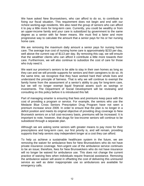We have asked New Brunswickers, who can afford to do so, to contribute to fixing our fiscal situation. This requirement does not begin and end with our richest working-age residents. We also need the group of seniors who can afford it to pay a little more for long-term care. Currently, you could be wealthy or from an upper-income family and your care is subsidized by government to the same degree as a senior with far fewer means. We must find a fairer and more progressive way to calculate the amount that a senior pays for his or her nursing home care.

We are removing the maximum daily amount a senior pays for nursing home care. The average true cost of nursing home care is approximately \$233 per day, well above the current cap of \$113 per day. By removing this cap, we will ensure that the wealthier clients who can afford it contribute a little more towards their care. Furthermore, we will also continue to subsidize the cost of care for those who truly need it.

We want our province's seniors to be able to stay in their own homes as long as they can and we will provide supports for seniors and their caregivers to do so. At the same time, we recognize that they have worked hard their whole lives and understand the principle of fairness. That is why we will continue to exempt the family home from the assessment of a senior's ability to pay for long-term care, but we will no longer exempt liquid financial assets such as savings or investments. The Department of Social Development will be reviewing and consulting on this policy before it is introduced this fall.

Part of managing smarter is ensuring that fees and premiums keep pace with the cost of providing a program or service. For example, the seniors who use the Medavie Blue Cross Seniors Prescription Drug Program have not seen a premium increase since 2009. In order to ensure that the plan is no longer in a deficit position and meets its original objective of providing drug coverage to New Brunswick seniors on a full cost-recovery basis, premiums will be increased. It is important to note, however, that drugs for low-income seniors will continue to be subsidized through a separate plan.

Although we are asking some seniors with greater means to pay more for their prescriptions and long-term care, our first priority is, and will remain, providing supports that help seniors stay independent longer at a cost they can afford.

To help us achieve a sustainable healthcare system in the future, we are removing the waiver for ambulance fees for New Brunswickers who do not have private insurance coverage. Non-urgent use of the ambulance service continues to be an issue; therefore, fees for New Brunswickers who do not have insurance will no longer be waived for ambulance use. This does not change the current practice of waiving fees when individuals require financial assistance. Removing the ambulance waiver will assist in offsetting the cost of delivering this uninsured service as well as deter inappropriate use so ambulances are available for emergency calls.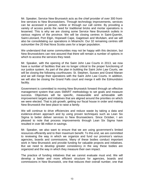Mr. Speaker, Service New Brunswick acts as the chief provider of over 300 frontline services to New Brunswickers. Through technology improvements, services can be accessed in person, online or through our call centre. By providing a variety of access points the need for traditional bricks and mortar operations is lessened. This is why we are closing some Service New Brunswick outlets in various regions of the province. We will be closing centres in Saint-Quentin, Saint-Léonard, Port Elgin, Hopewell Cape, Gagetown and McAdam, and we will also be consolidating our operations in Miramichi. Our 32 remaining centres still outnumber the 20 that Nova Scotia uses for a larger population.

We understand that some communities may not be happy with this decision, but New Brunswickers can rest assured that there will remain a number of options in which to access the services they need.

Mr. Speaker, with the opening of the Saint John Law Courts in 2013, we now have a number of facilities that are no longer critical to the proper functioning of our justice system. As part of the plan in building the Saint John Law Courts, we will be closing the following courthouses: St. Stephen, Sussex and Grand Manan and we will merge their operations with the Saint John Law Courts. In addition, we will also be closing the Grand Falls court and merge it with the Edmundston facility.

Government is committed to moving New Brunswick forward through an effective management system that uses SMART methodology to set goals and measure success. Objectives will be specific, measurable and achievable with improvement targets and initiatives that are aligned around the priorities on which we were elected. That is job growth, getting our fiscal house in order and making New Brunswick the best place to raise a family.

We will continue to drive efficiencies and reduce waste by taking a data and evidence-driven approach and by using proven techniques such as Lean Six Sigma to better deliver services to New Brunswickers. Since October, I am pleased to note that process improvements through Lean Six Sigma have resulted in over \$6 million in savings.

Mr. Speaker, we also want to ensure that we are using government's limited resources efficiently and to their maximum benefit. To this end, we are committed to reviewing the way in which we organize and fund our province's various agencies, boards and commissions. Many of these bodies conduct important work in New Brunswick and provide funding for valuable projects and initiatives. But we need to develop greater consistency in the way these bodies are organized and the way in which they measure their own impact.

The practice of funding initiatives that we cannot evaluate must end. We will develop a better and more efficient structure for agencies, boards and commissions in New Brunswick, one that reduces their overall number, one that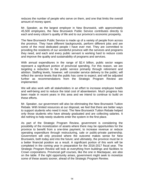reduces the number of people who serve on them, and one that limits the overall amount of money spent.

Mr. Speaker, as the largest employer in New Brunswick, with approximately 45,500 employees, the New Brunswick Public Service contributes directly to each and every citizen's quality of life and to our province's economic prosperity.

The New Brunswick Public Service is made up of a variety of people from across the province. They have different backgrounds, perform different jobs and are some of the most dedicated people I have ever met. They are committed to providing the residents of our wonderful province with the services and programs they need, and each and every public servant is working hard to reduce costs and improve the quality and sustainability of programs and services.

With annual expenditures in the range of \$2.4 billion, public sector wages represent a significant portion of provincial spending. For this reason, we are targeting a reduction to the public service primarily through retirement and attrition. Staffing levels, however, will consider service delivery to the public; will reflect the service levels that the public has come to expect; and will be adjusted further as recommendations from the Strategic Program Review are implemented.

We will also work with all stakeholders in an effort to increase employee health and well-being and to reduce the total cost of absenteeism. Much progress has been made in recent years in this area and we intend to continue to build on these efforts.

Mr. Speaker, our government will also be eliminating the New Brunswick Tuition Rebate. With limited resources at our disposal, we feel that there are better ways to support students who need it most. The New Brunswick Tuition Rebate helped only those students who have already graduated and are collecting salaries. It did nothing to help needy students enter the system in the first place.

As part of the Strategic Program Review, government is considering the possibility of the monetization of assets where there may be opportunities for the province to benefit from a one-time payment, to increase revenue or reduce operating expenditure through restructuring, sale or public-private partnership. Government will only proceed where the outcome makes sense for New Brunswick, both today and into the future; and ultimately, the province must be in a better financial position as a result. A significant portion of this work will be completed in the coming year in preparation for the 2016-2017 fiscal year. The Strategic Program Review will look at everything from buildings and facilities to Crown corporations. Provincial golf courses, like the one in Mactaquac, are also on the table. If the right opportunity arises, government might seek to monetize some of these assets sooner, ahead of the Strategic Program Review.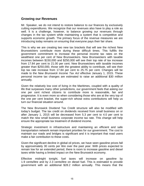# <span id="page-14-0"></span>**Growing our Revenues**

Mr. Speaker, we do not intend to restore balance to our finances by exclusively cutting expenditures. We recognize that our revenues also have to play a role as well. It is a challenge, however, to balance growing our revenues through changes in the tax system while maintaining a system that is competitive and supports economic growth. The primary focus of the revenue measures we are introducing today remains on ensuring that everyone pays their fair share.

This is why we are creating two new tax brackets that will see the richest New Brunswickers contribute more during these difficult times. This fulfills the government commitment to increase the personal income tax rates on the wealthiest one per cent of New Brunswickers. New Brunswickers with taxable incomes between \$150,000 and \$250,000 will see their top rate of tax increase from 17.84 per cent to 21.00 per cent. New Brunswickers with taxable incomes greater than \$250,000, those with the greatest ability to contribute, will see their top tax rate increase from 17.84 per cent to 25.75 per cent. Changes will be made to the *New Brunswick Income Tax Act* effective January 1, 2015. These personal income tax changes are estimated to raise an additional \$30 million annually.

Given the relatively low cost of living in the Maritimes, coupled with a quality of life that surpasses many other jurisdictions, our government feels that asking our one per cent richest citizens to contribute more is reasonable, fair and progressive. It is even more so when considering those who are at the very top of the one per cent bracket, the super-rich whose extra contributions will help us turn our financial situation around.

The New Brunswick Dividend Tax Credit structure will also be modified with today's budget. The tax credit on dividends received from small business on or after January 1, 2015 will be decreased from 5.3 per cent to 4.0 per cent to match the new small business corporate income tax rate. This change will help ensure the appropriate tax treatment of dividend income.

Strategic investment in infrastructure and maintaining an efficient and safe transportation network remain important priorities for our government. The cost to maintain our roads and bridges is significant and it is important that road users make a fair contribution to these costs.

Given the significant decline in global oil prices, we have seen gasoline prices fall by approximately 30 cents per litre over the past year. With prices expected to remain low for an extended period, there is room to increase gasoline and diesel taxes while having a limited impact on the New Brunswick economy.

Effective midnight tonight, fuel taxes will increase on gasoline by 1.9 cents/litre and by 2.3 cents/litre on diesel fuel. This is estimated to provide government with an additional \$28.2 million annually. This means that the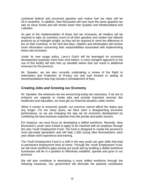combined federal and provincial gasoline and motive fuel tax rates will be 25.5 cents/litre. In addition, New Brunswick will now have the same gasoline tax rate as Nova Scotia and will remain lower than Quebec and Newfoundland and Labrador.

As part of the implementation of these fuel tax increases, all retailers will be required to take an inventory count of all their gasoline and motive fuel (diesel) products as of midnight tonight, as they will be required to remit the difference in tax on their inventory. In the next few days, retailers and wholesalers will receive more information concerning their responsibilities associated with implementing these rate increases.

Under its new usage policy, Larry's Gulch will be leveraged for economic development purposes more than ever before. A more stringent approach to the use of this facility will also free up valuable weeks that can result in additional revenues for the province.

Mr. Speaker, we are also currently undertaking a review of the *Right to Information and Protection of Privacy Act* and look forward to seeing its recommendations that may include a reinstatement of fees.

# <span id="page-15-0"></span>**Creating Jobs and Growing our Economy**

Mr. Speaker, the measures we are announcing today are necessary. If we are to enhance our capacity to create jobs and provide important services like healthcare and education, we must get our financial situation under control.

When it comes to economic growth, our province cannot afford the status quo any longer. For too many years, we have seen a disappointing economic performance, so we are changing the way we do economic development by combining the best business expertise from the private and public sectors.

For instance, we must focus on developing a skilled workforce. Recently, New Brunswick's youth were invited to apply to be matched with an employer through the new Youth Employment Fund. The fund is designed to create the province's most job-ready generation and will help 1,500 young New Brunswickers each year obtain work experience and training.

The Youth Employment Fund is a shift in the way youth can gain skills that lead to permanent employment here at home. Through the Youth Employment Fund, we will close workforce gaps among our youth and by building a skilled workforce businesses will be in a position to effectively establish, operate and grow in our province.

We will also contribute to developing a more skilled workforce through the following measures. Our government will eliminate the parental contribution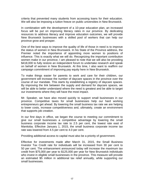criteria that prevented many students from accessing loans for their education. We will also be imposing a tuition freeze on public universities in New Brunswick.

In combination with the development of a 10-year education plan, an increased focus will be put on improving literacy rates in our province. By dedicating resources to address literacy and improve education outcomes, we will provide New Brunswick businesses with a skilled pool of workers that can help our province grow and prosper.

One of the best ways to improve the quality of life of those in need is to improve the status of women in New Brunswick. In his State of the Province address, the Premier noted the importance of appointing more women to positions of influence. This is exactly what we will do. Recognizing the important contribution women make in our province, I am pleased to note that we will also be providing \$418,000 to fully restore an independent forum to undertake research and speak on behalf of women in New Brunswick. At this time, I also want to reaffirm our campaign commitment of improving pay equity here in New Brunswick.

To make things easier for parents to work and care for their children, our government will increase the number of daycare spaces in the province over the course of our mandate. This starts by establishing a registry of daycare spaces. By improving the link between the supply and demand for daycare spaces, we will be able to better understand where the need is greatest and be able to target our investments where they will have the most impact.

Mr. Speaker, we have also moved quickly to support small businesses in our province. Competitive taxes for small businesses help our hard working entrepreneurs get ahead. By lowering the small business tax rate we are helping to lower costs, increase competitiveness and, ultimately, create an environment that supports job creation.

In our first days in office, we began the course to meeting our commitment to give our small businesses a competitive advantage by lowering the small business corporate income tax rate to 2.5 per cent, the lowest rate east of Manitoba. Effective January 1, 2015, the small business corporate income tax rate was lowered from 4.5 per cent to 4.0 per cent.

Providing additional access to capital must also be a priority of government.

Effective for investments made after March 31, 2015, the Small Business Investor Tax Credit rate for individuals will be increased from 30 per cent to 50 per cent. The enhancement announced today will increase the maximum tax credit from \$75,000 per year to \$125,000 per year for New Brunswick individuals who invest in eligible small businesses in the province. This measure will provide an estimated \$5 million in additional tax relief annually, while supporting our small businesses.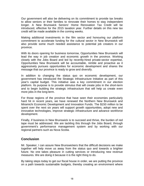Our government will also be delivering on its commitment to provide tax breaks to allow seniors or their families to renovate their homes to stay independent longer. A New Brunswick Seniors' Home Renovation Tax Credit will be introduced, effective for the 2015 taxation year. Further details on this new tax credit will be made available in the coming weeks.

Making additional investments in the film sector and honouring our platform commitment to accelerate funding for the cultural sector in New Brunswick will also provide some much needed assistance to potential job creators in our province.

With its doors opening for business tomorrow, Opportunities New Brunswick will lead the way in job creation and economic growth in the province. Working closely with the Jobs Board and led by recently-hired private-sector expertise, Opportunities New Brunswick will be accountable, nimble and proactive as it aggressively pursues opportunities for economic development and shares the message that our province is ready to grow and diversify.

In addition to changing the status quo on economic development, our government has introduced the Strategic Infrastructure Initiative as part of this year's capital budget. This initiative was a key commitment in our election platform. Its purpose is to provide stimulus that will create jobs in the short-term and to begin building the strategic infrastructure that will help us create even more jobs in the long-term.

For those regions of the province that have seen their economies particularly hard hit in recent years, we have renewed the Northern New Brunswick and Miramichi Economic Development and Innovation Funds. The \$150 million to be spent over the next six years will support growth opportunities, adopt new and innovative technologies, improve strategic infrastructure and advance workforce development.

Finally, if business in New Brunswick is to succeed and thrive, the burden of red tape must be addressed. We are tackling this through the Jobs Board, through government's performance management system and by working with our regional partners such as Nova Scotia.

# <span id="page-17-0"></span>**Conclusion**

Mr. Speaker, I can assure New Brunswickers that the difficult decisions we make together will help move us away from the status quo and towards a brighter future. No one takes pleasure in cutting services or introducing new revenue measures. We are doing it because it is the right thing to do.

By taking steps today to get our fiscal house in order, we are putting the province on a path towards sustainable budgets, thereby creating an environment where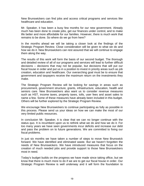New Brunswickers can find jobs and access critical programs and services like healthcare and education.

Mr. Speaker, it has been a busy few months for our new government. Already much has been done to create jobs, get our finances under control, and to make life better and more affordable for our families. However, there is much work that remains to be done. So where do we go from here?

In the months ahead we will be taking a closer look at the findings of the Strategic Program Review. Close consideration will be given to what we do and how we do it. New Brunswickers can rest assured that we will continue to engage them along the way.

The results of this work will form the basis of our second budget. The thorough and detailed review of all of our programs and services will lead to further difficult decisions – decisions that may not be popular, but decisions that will put our fiscal house in order and put us in a position to invest in priority areas such as job creation, education and healthcare. Our overarching goal must be to ensure that government and taxpayers receive the maximum return on the investments they make.

The Strategic Program Review will be looking for savings in areas such as procurement, government structure, grants, infrastructure, education, health and seniors care. New Brunswickers also want us to consider revenue measures such as HST, income taxes, property taxes, tolls, user fees and asset sales to name a few. Some of these measures have already been included in this budget. Others will be further explored by the Strategic Program Review.

We encourage New Brunswickers to continue participating as fully as possible in this process. Please send us your ideas on how we can make the most of our very limited public resources.

In conclusion Mr. Speaker, it is clear that we can no longer continue with the status quo. It is incumbent upon us to rethink what we do and how we do it. For too many years we have seen governments incur deficits and increase our debt and pass the problem on to future generations. We are committed to fixing our fiscal problems.

In just six months we have taken a number of steps to move New Brunswick forward. We have identified and eliminated waste. But we haven't forgotten the needs of New Brunswickers. We have introduced measures that focus on the creation of much needed jobs and provide support to those New Brunswickers most in need.

Today's budget builds on the progress we have made since taking office, but we know that there is much more to do if we are to get our fiscal house in order. Our Strategic Program Review is well underway and it will form the foundation to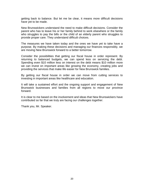getting back to balance. But let me be clear, it means more difficult decisions have yet to be made.

New Brunswickers understand the need to make difficult decisions. Consider the parent who has to leave his or her family behind to work elsewhere or the family who struggles to pay the bills or the child of an elderly parent who struggles to provide proper care. They understand difficult choices.

The measures we have taken today and the ones we have yet to take have a purpose. By making these decisions and managing our finances responsibly, we are moving New Brunswick forward to a better tomorrow.

Consider the possibilities that getting our fiscal house in order represent. By returning to balanced budgets, we can spend less on servicing the debt. Spending even \$10 million less on interest on the debt means \$10 million more we can invest on important areas like growing the economy, creating jobs and providing the services that make life easier for New Brunswick families.

By getting our fiscal house in order we can move from cutting services to investing in important areas like healthcare and education.

It will take a sustained effort and the ongoing support and engagement of New Brunswick businesses and families from all regions to move our province forward.

It is clear to me based on the involvement and ideas that New Brunswickers have contributed so far that we truly are facing our challenges together.

Thank you, Mr. Speaker.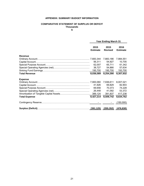#### **APPENDIX: SUMMARY BUDGET INFORMATION**

#### **COMPARATIVE STATEMENT OF SURPLUS OR DEFICIT Thousands**

**\$**

|                                                                    |                         | <b>Year Ending March 31</b> |                         |  |
|--------------------------------------------------------------------|-------------------------|-----------------------------|-------------------------|--|
|                                                                    | 2015<br><b>Estimate</b> | 2015<br><b>Revised</b>      | 2016<br><b>Estimate</b> |  |
| Revenue                                                            |                         |                             |                         |  |
|                                                                    |                         | 7,883,186                   | 7,984,551               |  |
|                                                                    | 56,311                  | 54,927                      | 10,705                  |  |
|                                                                    | 62,007                  | 65,711                      | 61,342                  |  |
|                                                                    | 38,727                  | 54,866                      | 57,634                  |  |
|                                                                    |                         | 195,700                     | 193,700                 |  |
| <b>Total Revenue</b>                                               | 8,036,089               | 8,254,390                   | 8,307,932               |  |
| <b>Expense</b>                                                     |                         |                             |                         |  |
|                                                                    |                         | 7,936,611                   | 8,007,021               |  |
|                                                                    | 41,926                  | 69,829                      | 82,903                  |  |
|                                                                    | 69,656                  | 70,373                      | 74,228                  |  |
|                                                                    |                         | 41,092                      | 53,372                  |  |
|                                                                    |                         |                             |                         |  |
| <b>Total Expense</b>                                               | 8,427,214               | 8,509,742                   | 8,634,762               |  |
|                                                                    |                         |                             | (150,000)               |  |
| Surplus (Deficit)………………………………………………………… <u>(391,125) (255,352)</u> |                         |                             | <u>(476,830)</u>        |  |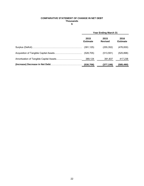#### **COMPARATIVE STATEMENT OF CHANGE IN NET DEBT Thousands \$**

| <b>Year Ending March 31</b> |                        |                         |
|-----------------------------|------------------------|-------------------------|
| 2015<br><b>Estimate</b>     | 2015<br><b>Revised</b> | 2016<br><b>Estimate</b> |
| (391, 125)                  | (255, 352)             | (476, 830)              |
|                             | (513, 591)             | (525, 898)              |
| 389,124                     | 391,837                | 417,238                 |
|                             | (377, 106)             | (585,490)               |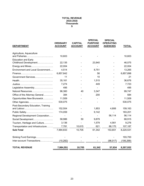#### **TOTAL REVENUE 2015-2016 Thousands \$**

| <b>DEPARTMENT</b>                  | <b>ORDINARY</b><br><b>ACCOUNT</b> | <b>CAPITAL</b><br><b>ACCOUNT</b> | <b>SPECIAL</b><br><b>PURPOSE</b><br><b>ACCOUNT</b> | <b>SPECIAL</b><br><b>OPERATING</b><br><b>AGENCIES</b> | <b>TOTAL</b> |
|------------------------------------|-----------------------------------|----------------------------------|----------------------------------------------------|-------------------------------------------------------|--------------|
| Agriculture, Aquaculture           | 10,603                            |                                  |                                                    |                                                       | 10,603       |
| <b>Education and Early</b>         |                                   |                                  |                                                    |                                                       |              |
| Childhood Development              | 22,135                            |                                  | 23,940                                             |                                                       | 46,075       |
| Energy and Mines                   | 22,004                            |                                  |                                                    |                                                       | 22,004       |
| Environment and Local Government   | 4,514                             |                                  | 8,751                                              |                                                       | 13,265       |
|                                    | 6,857,842                         |                                  | 56                                                 |                                                       | 6,857,898    |
| Government Services                | 11                                |                                  | 10                                                 |                                                       | 21           |
|                                    | 35,161                            |                                  | 1,515                                              |                                                       | 36,676       |
|                                    | 7,274                             |                                  | 449                                                |                                                       | 7,723        |
| Legislative Assembly               | 495                               |                                  |                                                    |                                                       | 495          |
| Natural Resources                  | 96,360                            | 40                               | 3,347                                              |                                                       | 99,747       |
| Office of the Attorney General     | 384                               |                                  | 200                                                |                                                       | 584          |
| Opportunities New Brunswick        | 11,509                            |                                  |                                                    |                                                       | 11,509       |
|                                    | 530,075                           |                                  |                                                    |                                                       | 530,075      |
| Post-Secondary Education, Training |                                   |                                  |                                                    |                                                       |              |
|                                    | 152,504                           |                                  | 1,853                                              | 4,806                                                 | 159,163      |
|                                    | 174,059                           |                                  | 9,142                                              |                                                       | 183,201      |
| Regional Development Corporation   |                                   |                                  | $\blacksquare$                                     | 56,114                                                | 56,114       |
| Social Development                 | 58,986                            | 50                               | 9,879                                              |                                                       | 68,915       |
| Tourism, Heritage and Culture      | 3,136                             |                                  | 1,579                                              | 4,561                                                 | 9,276        |
| Transportation and Infrastructure  | 7,781                             | 10,615                           | 621                                                | 88,170                                                | 107,187      |
| <b>Sub-Total</b>                   | 7,994,833                         | 10,705                           | 61,342                                             | 153,651                                               | 8,220,531    |
| Sinking Fund Earnings              |                                   |                                  |                                                    |                                                       | 193,700      |
| Inter-account Transactions         | (10, 282)                         |                                  |                                                    | (96, 017)                                             | (106, 299)   |
| <b>TOTAL REVENUE</b>               | 7,984,551                         | 10,705                           | 61,342                                             | 57,634                                                | 8,307,932    |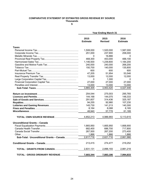#### **COMPARATIVE STATEMENT OF ESTIMATED GROSS REVENUE BY SOURCE Thousands \$**

|                                          | <b>Year Ending March 31</b> |                        |                         |  |
|------------------------------------------|-----------------------------|------------------------|-------------------------|--|
|                                          | 2015<br><b>Estimate</b>     | 2015<br><b>Revised</b> | 2016<br><b>Estimate</b> |  |
| <b>Taxes</b>                             |                             |                        |                         |  |
|                                          | 1,508,000                   | 1,520,000              | 1,587,000               |  |
|                                          | 251,000                     | 237,900                | 258,000                 |  |
|                                          | $\Omega$                    | 16,866                 | 0                       |  |
|                                          | 468,300                     | 453,000                | 488,100                 |  |
|                                          | 1,146,500                   | 1,239,800              | 1,184,200               |  |
|                                          | 240,000                     | 240,000                | 268,200                 |  |
|                                          | 150,700                     | 140,000                | 135,800                 |  |
|                                          | 600                         | 600                    | 600                     |  |
|                                          | 47,205                      | 51,954                 | 53,546                  |  |
|                                          | 13,000                      | 12,000                 | 12,000                  |  |
|                                          | 0                           | 1,300                  | 0                       |  |
|                                          | 27,000                      | 27,000                 | 27,000                  |  |
|                                          | 13,000                      | 13,000                 | 13,000                  |  |
|                                          | 3,865,305                   | 3,953,420              | 4,027,446               |  |
|                                          |                             |                        |                         |  |
|                                          | 254,044<br>144,168          | 275,003<br>144,075     | 295,765<br>148,333      |  |
|                                          | 291,607                     | 314,436                | 325,187                 |  |
|                                          | 94,255                      | 92,980                 | 107,230                 |  |
|                                          | 145,730                     | 141,213                | 140,300                 |  |
|                                          | 8,164                       | 8,088                  | 8,165                   |  |
|                                          | 48,940                      | 57,778                 | 61,189                  |  |
|                                          | 4,852,213                   | 4,986,993              | 5,113,615               |  |
|                                          |                             |                        |                         |  |
| <b>Unconditional Grants - Canada</b>     |                             |                        |                         |  |
|                                          | 1,665,950                   | 1,665,950              | 1,668,900               |  |
|                                          | 682,400                     | 686,700                | 717,800                 |  |
|                                          | 267,500                     | 267,200                | 273,400                 |  |
|                                          | 1,866                       | 1,866                  | 1,866                   |  |
| Sub-Total: Unconditional Grants - Canada | 2,617,716                   | 2,621,716              | 2,661,966               |  |
|                                          | 213,415                     | 274,477                | 219,252                 |  |
| TOTAL: GRANTS FROM CANADA                | 2,831,131                   | 2,896,193              | 2,881,218               |  |
|                                          | 7,683,344                   | 7,883,186              | 7,994,833               |  |